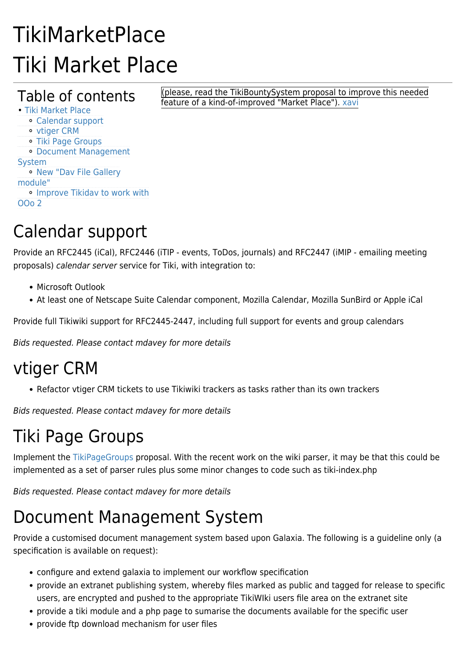# TikiMarketPlace Tiki Market Place

#### Table of contents

(please, read the TikiBountySystem proposal to improve this needed feature of a kind-of-improved "Market Place"). [xavi](https://tiki.org/xavi)

• [Tiki Market Place](#page--1-0) ⚬ [Calendar support](#page--1-0) ⚬ [vtiger CRM](#page--1-0) ⚬ [Tiki Page Groups](#page--1-0) ⚬ [Document Management](#page--1-0) [System](#page--1-0) ⚬ [New "Dav File Gallery](#page--1-0) [module"](#page--1-0) ⚬ [Improve Tikidav to work with](#page--1-0) [OOo 2](#page--1-0)

# Calendar support

Provide an RFC2445 (iCal), RFC2446 (iTIP - events, ToDos, journals) and RFC2447 (iMIP - emailing meeting proposals) calendar server service for Tiki, with integration to:

- Microsoft Outlook
- At least one of Netscape Suite Calendar component, Mozilla Calendar, Mozilla SunBird or Apple iCal

Provide full Tikiwiki support for RFC2445-2447, including full support for events and group calendars

Bids requested. Please contact [mdavey](https://tiki.org/tiki-editpage.php?page=UserPageMDavey) for more details

### vtiger CRM

• Refactor vtiger CRM tickets to use Tikiwiki trackers as tasks rather than its own trackers

Bids requested. Please contact [mdavey](https://tiki.org/tiki-editpage.php?page=UserPageMDavey) for more details

# Tiki Page Groups

Implement the [TikiPageGroups](https://tiki.org/TikiPageGroups) proposal. With the recent work on the wiki parser, it may be that this could be implemented as a set of parser rules plus some minor changes to code such as tiki-index.php

Bids requested. Please contact [mdavey](https://tiki.org/tiki-editpage.php?page=UserPageMDavey) for more details

## Document Management System

Provide a customised document management system based upon Galaxia. The following is a guideline only (a specification is available on request):

- configure and extend galaxia to implement our workflow specification
- provide an extranet publishing system, whereby files marked as public and tagged for release to specific users, are encrypted and pushed to the appropriate TikiWIki users file area on the extranet site
- provide a tiki module and a php page to sumarise the documents available for the specific user
- provide ftp download mechanism for user files